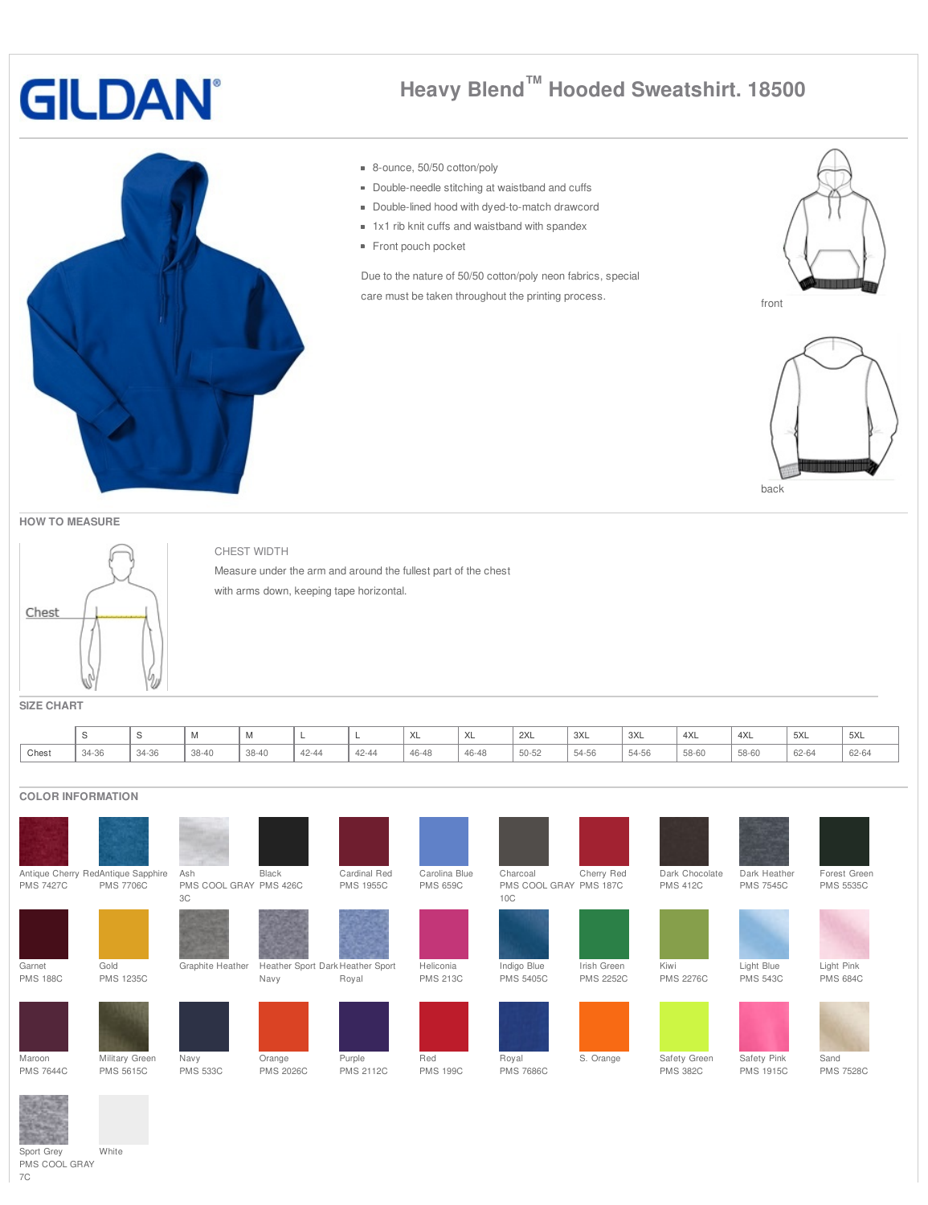## **GILDAN**

## **Heavy Blend™ Hooded Sweatshirt. 18500**



## 8-ounce, 50/50 cotton/poly

- Double-needle stitching at waistband and cuffs
- **Double-lined hood with dyed-to-match drawcord**
- 1x1 rib knit cuffs and waistband with spandex
- Front pouch pocket

Due to the nature of 50/50 cotton/poly neon fabrics, special care must be taken throughout the printing process.





**HOW TO MEASURE**



CHEST WIDTH Measure under the arm and around the fullest part of the chest with arms down, keeping tape horizontal.

**SIZE CHART**

|       |                   |                  | IVI   | $\cdots$ |       |       | ハレ    | XL    | 2XL   | 3XL   | 3XL   | 4XL   | 4XL   | 5XL   | 5XL   |
|-------|-------------------|------------------|-------|----------|-------|-------|-------|-------|-------|-------|-------|-------|-------|-------|-------|
| Chest | $34 - 36$<br>ט־+כ | $31 - 36$<br>ーごし | 38-40 | 38-40    | 42-44 | 42-44 | 46-48 | 46-48 | 50-52 | 54-56 | 54-56 | 58-60 | 58-60 | 62-64 | 62-64 |

## **COLOR INFORMATION**

|                  |                                                        |                                     |                                  |                                  |                                  |                                           |                  |                                   | Dark Heather     |                                  |
|------------------|--------------------------------------------------------|-------------------------------------|----------------------------------|----------------------------------|----------------------------------|-------------------------------------------|------------------|-----------------------------------|------------------|----------------------------------|
| <b>PMS 7427C</b> | Antique Cherry RedAntique Sapphire<br><b>PMS 7706C</b> | Ash<br>PMS COOL GRAY PMS 426C<br>3C | Black                            | Cardinal Red<br><b>PMS 1955C</b> | Carolina Blue<br><b>PMS 659C</b> | Charcoal<br>PMS COOL GRAY PMS 187C<br>10C | Cherry Red       | Dark Chocolate<br><b>PMS 412C</b> | <b>PMS 7545C</b> | Forest Green<br><b>PMS 5535C</b> |
|                  |                                                        |                                     |                                  |                                  |                                  |                                           |                  |                                   |                  |                                  |
| Garnet           | Gold                                                   | Graphite Heather                    | Heather Sport Dark Heather Sport |                                  | Heliconia                        | Indigo Blue                               | Irish Green      | Kiwi                              | Light Blue       | Light Pink                       |
| <b>PMS 188C</b>  | <b>PMS 1235C</b>                                       |                                     | Navy                             | Royal                            | <b>PMS 213C</b>                  | <b>PMS 5405C</b>                          | <b>PMS 2252C</b> | <b>PMS 2276C</b>                  | <b>PMS 543C</b>  | <b>PMS 684C</b>                  |
|                  |                                                        |                                     |                                  |                                  |                                  |                                           |                  |                                   |                  |                                  |
| Maroon           | Military Green                                         | Navy                                | Orange                           | Purple                           | Red                              | Royal                                     | S. Orange        | Safety Green                      | Safety Pink      | Sand                             |
| <b>PMS 7644C</b> | <b>PMS 5615C</b>                                       | <b>PMS 533C</b>                     | <b>PMS 2026C</b>                 | <b>PMS 2112C</b>                 | <b>PMS 199C</b>                  | <b>PMS 7686C</b>                          |                  | <b>PMS 382C</b>                   | <b>PMS 1915C</b> | <b>PMS 7528C</b>                 |

Sport Grey PMS COOL GRAY White